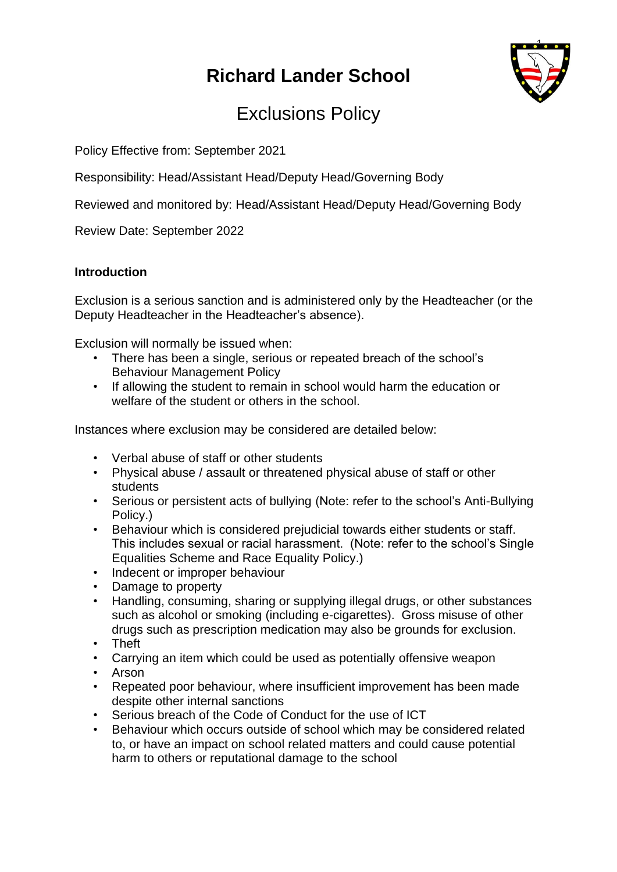# **Richard Lander School**



# Exclusions Policy

Policy Effective from: September 2021

Responsibility: Head/Assistant Head/Deputy Head/Governing Body

Reviewed and monitored by: Head/Assistant Head/Deputy Head/Governing Body

Review Date: September 2022

## **Introduction**

Exclusion is a serious sanction and is administered only by the Headteacher (or the Deputy Headteacher in the Headteacher's absence).

Exclusion will normally be issued when:

- There has been a single, serious or repeated breach of the school's Behaviour Management Policy
- If allowing the student to remain in school would harm the education or welfare of the student or others in the school.

Instances where exclusion may be considered are detailed below:

- Verbal abuse of staff or other students
- Physical abuse / assault or threatened physical abuse of staff or other students
- Serious or persistent acts of bullying (Note: refer to the school's Anti-Bullying Policy.)
- Behaviour which is considered prejudicial towards either students or staff. This includes sexual or racial harassment. (Note: refer to the school's Single Equalities Scheme and Race Equality Policy.)
- Indecent or improper behaviour
- Damage to property
- Handling, consuming, sharing or supplying illegal drugs, or other substances such as alcohol or smoking (including e-cigarettes). Gross misuse of other drugs such as prescription medication may also be grounds for exclusion.
- Theft
- Carrying an item which could be used as potentially offensive weapon
- Arson
- Repeated poor behaviour, where insufficient improvement has been made despite other internal sanctions
- Serious breach of the Code of Conduct for the use of ICT
- Behaviour which occurs outside of school which may be considered related to, or have an impact on school related matters and could cause potential harm to others or reputational damage to the school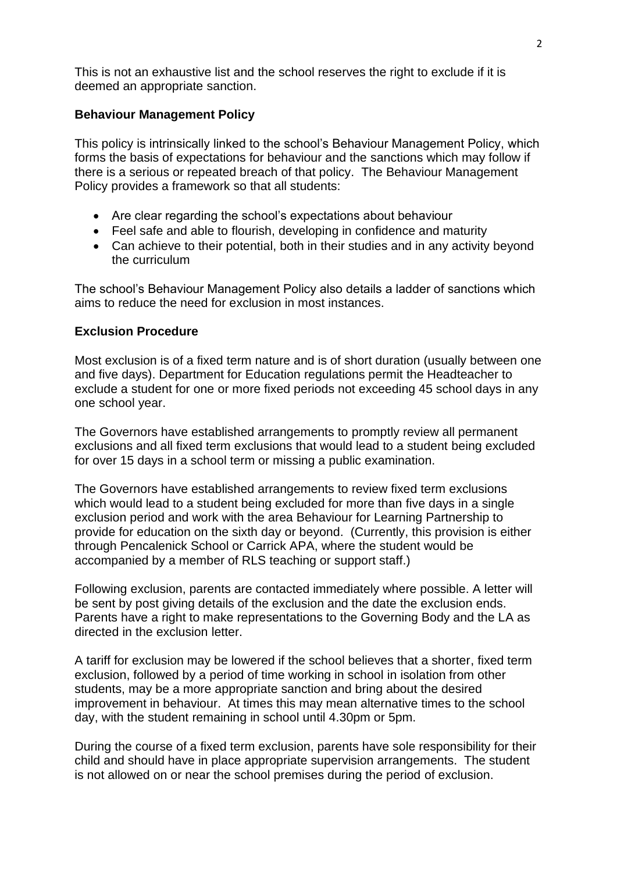This is not an exhaustive list and the school reserves the right to exclude if it is deemed an appropriate sanction.

### **Behaviour Management Policy**

This policy is intrinsically linked to the school's Behaviour Management Policy, which forms the basis of expectations for behaviour and the sanctions which may follow if there is a serious or repeated breach of that policy. The Behaviour Management Policy provides a framework so that all students:

- Are clear regarding the school's expectations about behaviour
- Feel safe and able to flourish, developing in confidence and maturity
- Can achieve to their potential, both in their studies and in any activity beyond the curriculum

The school's Behaviour Management Policy also details a ladder of sanctions which aims to reduce the need for exclusion in most instances.

### **Exclusion Procedure**

Most exclusion is of a fixed term nature and is of short duration (usually between one and five days). Department for Education regulations permit the Headteacher to exclude a student for one or more fixed periods not exceeding 45 school days in any one school year.

The Governors have established arrangements to promptly review all permanent exclusions and all fixed term exclusions that would lead to a student being excluded for over 15 days in a school term or missing a public examination.

The Governors have established arrangements to review fixed term exclusions which would lead to a student being excluded for more than five days in a single exclusion period and work with the area Behaviour for Learning Partnership to provide for education on the sixth day or beyond. (Currently, this provision is either through Pencalenick School or Carrick APA, where the student would be accompanied by a member of RLS teaching or support staff.)

Following exclusion, parents are contacted immediately where possible. A letter will be sent by post giving details of the exclusion and the date the exclusion ends. Parents have a right to make representations to the Governing Body and the LA as directed in the exclusion letter.

A tariff for exclusion may be lowered if the school believes that a shorter, fixed term exclusion, followed by a period of time working in school in isolation from other students, may be a more appropriate sanction and bring about the desired improvement in behaviour. At times this may mean alternative times to the school day, with the student remaining in school until 4.30pm or 5pm.

During the course of a fixed term exclusion, parents have sole responsibility for their child and should have in place appropriate supervision arrangements. The student is not allowed on or near the school premises during the period of exclusion.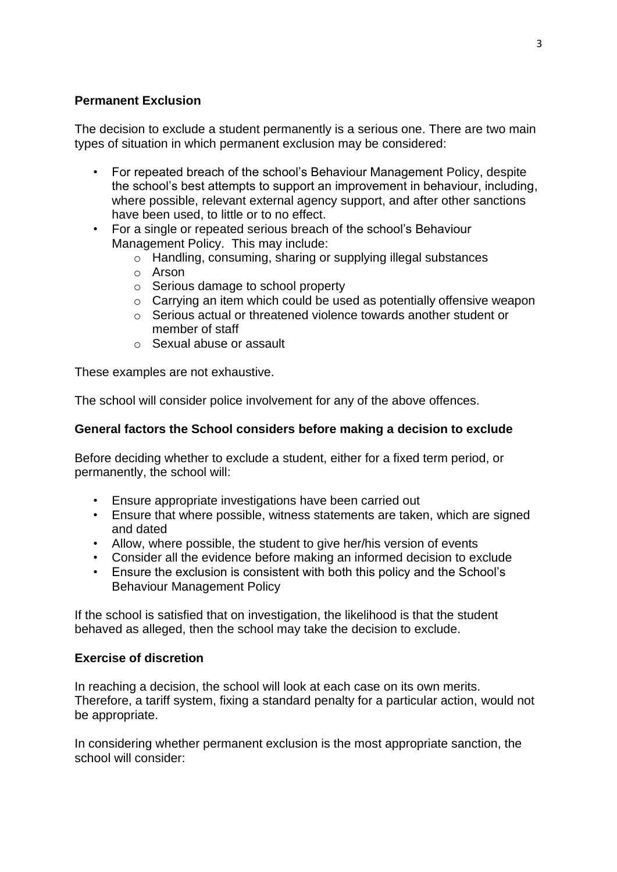## **Permanent Exclusion**

The decision to exclude a student permanently is a serious one. There are two main types of situation in which permanent exclusion may be considered:

- For repeated breach of the school's Behaviour Management Policy, despite the school's best attempts to support an improvement in behaviour, including, where possible, relevant external agency support, and after other sanctions have been used, to little or to no effect.
- For a single or repeated serious breach of the school's Behaviour Management Policy. This may include:
	- o Handling, consuming, sharing or supplying illegal substances
	- o Arson
	- o Serious damage to school property
	- o Carrying an item which could be used as potentially offensive weapon
	- o Serious actual or threatened violence towards another student or member of staff
	- o Sexual abuse or assault

These examples are not exhaustive.

The school will consider police involvement for any of the above offences.

## **General factors the School considers before making a decision to exclude**

Before deciding whether to exclude a student, either for a fixed term period, or permanently, the school will:

- Ensure appropriate investigations have been carried out
- Ensure that where possible, witness statements are taken, which are signed and dated
- Allow, where possible, the student to give her/his version of events
- Consider all the evidence before making an informed decision to exclude
- Ensure the exclusion is consistent with both this policy and the School's Behaviour Management Policy

If the school is satisfied that on investigation, the likelihood is that the student behaved as alleged, then the school may take the decision to exclude.

### **Exercise of discretion**

In reaching a decision, the school will look at each case on its own merits. Therefore, a tariff system, fixing a standard penalty for a particular action, would not be appropriate.

In considering whether permanent exclusion is the most appropriate sanction, the school will consider: